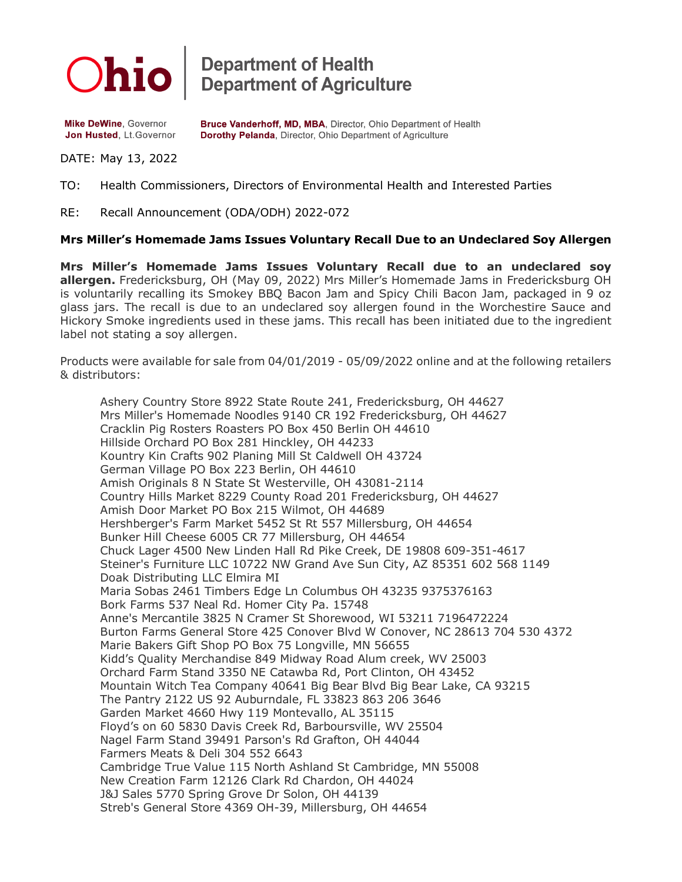

**Department of Health<br>Department of Agriculture** 

**Mike DeWine, Governor** Jon Husted, Lt.Governor Bruce Vanderhoff, MD, MBA, Director, Ohio Department of Health Dorothy Pelanda, Director, Ohio Department of Agriculture

DATE: May 13, 2022

TO: Health Commissioners, Directors of Environmental Health and Interested Parties

RE: Recall Announcement (ODA/ODH) 2022-072

## **Mrs Miller's Homemade Jams Issues Voluntary Recall Due to an Undeclared Soy Allergen**

**Mrs Miller's Homemade Jams Issues Voluntary Recall due to an undeclared soy allergen.** Fredericksburg, OH (May 09, 2022) Mrs Miller's Homemade Jams in Fredericksburg OH is voluntarily recalling its Smokey BBQ Bacon Jam and Spicy Chili Bacon Jam, packaged in 9 oz glass jars. The recall is due to an undeclared soy allergen found in the Worchestire Sauce and Hickory Smoke ingredients used in these jams. This recall has been initiated due to the ingredient label not stating a soy allergen.

Products were available for sale from 04/01/2019 - 05/09/2022 online and at the following retailers & distributors:

Ashery Country Store 8922 State Route 241, Fredericksburg, OH 44627 Mrs Miller's Homemade Noodles 9140 CR 192 Fredericksburg, OH 44627 Cracklin Pig Rosters Roasters PO Box 450 Berlin OH 44610 Hillside Orchard PO Box 281 Hinckley, OH 44233 Kountry Kin Crafts 902 Planing Mill St Caldwell OH 43724 German Village PO Box 223 Berlin, OH 44610 Amish Originals 8 N State St Westerville, OH 43081-2114 Country Hills Market 8229 County Road 201 Fredericksburg, OH 44627 Amish Door Market PO Box 215 Wilmot, OH 44689 Hershberger's Farm Market 5452 St Rt 557 Millersburg, OH 44654 Bunker Hill Cheese 6005 CR 77 Millersburg, OH 44654 Chuck Lager 4500 New Linden Hall Rd Pike Creek, DE 19808 609-351-4617 Steiner's Furniture LLC 10722 NW Grand Ave Sun City, AZ 85351 602 568 1149 Doak Distributing LLC Elmira MI Maria Sobas 2461 Timbers Edge Ln Columbus OH 43235 9375376163 Bork Farms 537 Neal Rd. Homer City Pa. 15748 Anne's Mercantile 3825 N Cramer St Shorewood, WI 53211 7196472224 Burton Farms General Store 425 Conover Blvd W Conover, NC 28613 704 530 4372 Marie Bakers Gift Shop PO Box 75 Longville, MN 56655 Kidd's Quality Merchandise 849 Midway Road Alum creek, WV 25003 Orchard Farm Stand 3350 NE Catawba Rd, Port Clinton, OH 43452 Mountain Witch Tea Company 40641 Big Bear Blvd Big Bear Lake, CA 93215 The Pantry 2122 US 92 Auburndale, FL 33823 863 206 3646 Garden Market 4660 Hwy 119 Montevallo, AL 35115 Floyd's on 60 5830 Davis Creek Rd, Barboursville, WV 25504 Nagel Farm Stand 39491 Parson's Rd Grafton, OH 44044 Farmers Meats & Deli 304 552 6643 Cambridge True Value 115 North Ashland St Cambridge, MN 55008 New Creation Farm 12126 Clark Rd Chardon, OH 44024 J&J Sales 5770 Spring Grove Dr Solon, OH 44139 Streb's General Store 4369 OH-39, Millersburg, OH 44654